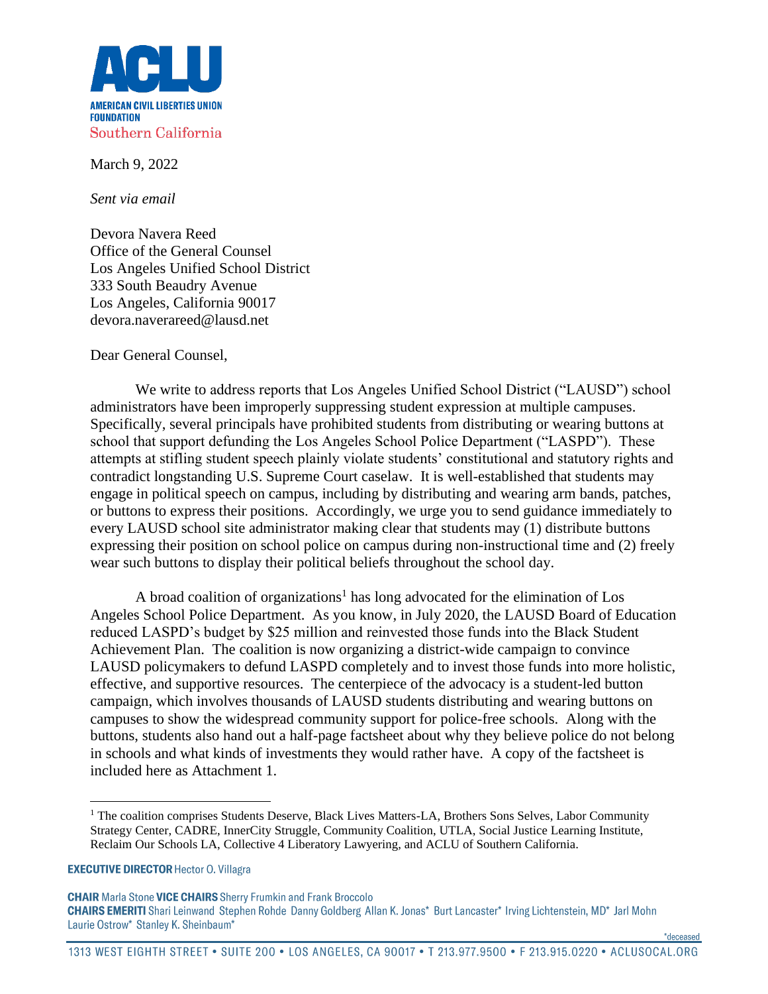

March 9, 2022

*Sent via email*

Devora Navera Reed Office of the General Counsel Los Angeles Unified School District 333 South Beaudry Avenue Los Angeles, California 90017 devora.naverareed@lausd.net

Dear General Counsel,

We write to address reports that Los Angeles Unified School District ("LAUSD") school administrators have been improperly suppressing student expression at multiple campuses. Specifically, several principals have prohibited students from distributing or wearing buttons at school that support defunding the Los Angeles School Police Department ("LASPD"). These attempts at stifling student speech plainly violate students' constitutional and statutory rights and contradict longstanding U.S. Supreme Court caselaw. It is well-established that students may engage in political speech on campus, including by distributing and wearing arm bands, patches, or buttons to express their positions. Accordingly, we urge you to send guidance immediately to every LAUSD school site administrator making clear that students may (1) distribute buttons expressing their position on school police on campus during non-instructional time and (2) freely wear such buttons to display their political beliefs throughout the school day.

A broad coalition of organizations<sup>1</sup> has long advocated for the elimination of Los Angeles School Police Department. As you know, in July 2020, the LAUSD Board of Education reduced LASPD's budget by \$25 million and reinvested those funds into the Black Student Achievement Plan. The coalition is now organizing a district-wide campaign to convince LAUSD policymakers to defund LASPD completely and to invest those funds into more holistic, effective, and supportive resources. The centerpiece of the advocacy is a student-led button campaign, which involves thousands of LAUSD students distributing and wearing buttons on campuses to show the widespread community support for police-free schools. Along with the buttons, students also hand out a half-page factsheet about why they believe police do not belong in schools and what kinds of investments they would rather have. A copy of the factsheet is included here as Attachment 1.

\*deceased\*

<sup>&</sup>lt;sup>1</sup> The coalition comprises Students Deserve, Black Lives Matters-LA, Brothers Sons Selves, Labor Community Strategy Center, CADRE, InnerCity Struggle, Community Coalition, UTLA, Social Justice Learning Institute, Reclaim Our Schools LA, Collective 4 Liberatory Lawyering, and ACLU of Southern California.

**EXECUTIVE DIRECTOR Hector O. Villagra** 

**CHAIR** Marla Stone VICE CHAIRS Sherry Frumkin and Frank Broccolo CHAIRS EMERITI Shari Leinwand Stephen Rohde Danny Goldberg Allan K. Jonas\* Burt Lancaster\* Irving Lichtenstein, MD\* Jarl Mohn Laurie Ostrow\* Stanley K. Sheinbaum\*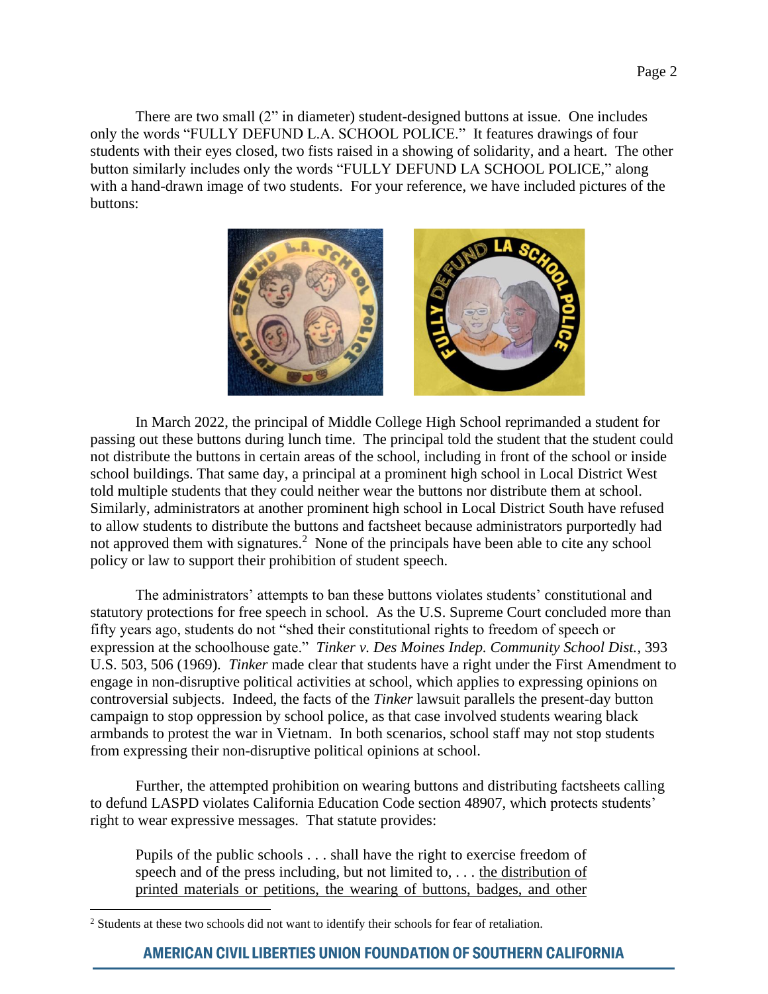There are two small (2" in diameter) student-designed buttons at issue. One includes only the words "FULLY DEFUND L.A. SCHOOL POLICE." It features drawings of four students with their eyes closed, two fists raised in a showing of solidarity, and a heart. The other button similarly includes only the words "FULLY DEFUND LA SCHOOL POLICE," along with a hand-drawn image of two students. For your reference, we have included pictures of the buttons:



In March 2022, the principal of Middle College High School reprimanded a student for passing out these buttons during lunch time. The principal told the student that the student could not distribute the buttons in certain areas of the school, including in front of the school or inside school buildings. That same day, a principal at a prominent high school in Local District West told multiple students that they could neither wear the buttons nor distribute them at school. Similarly, administrators at another prominent high school in Local District South have refused to allow students to distribute the buttons and factsheet because administrators purportedly had not approved them with signatures.<sup>2</sup> None of the principals have been able to cite any school policy or law to support their prohibition of student speech.

The administrators' attempts to ban these buttons violates students' constitutional and statutory protections for free speech in school. As the U.S. Supreme Court concluded more than fifty years ago, students do not "shed their constitutional rights to freedom of speech or expression at the schoolhouse gate." *Tinker v. Des Moines Indep. Community School Dist.*, 393 U.S. 503, 506 (1969). *Tinker* made clear that students have a right under the First Amendment to engage in non-disruptive political activities at school, which applies to expressing opinions on controversial subjects. Indeed, the facts of the *Tinker* lawsuit parallels the present-day button campaign to stop oppression by school police, as that case involved students wearing black armbands to protest the war in Vietnam. In both scenarios, school staff may not stop students from expressing their non-disruptive political opinions at school.

Further, the attempted prohibition on wearing buttons and distributing factsheets calling to defund LASPD violates California Education Code section 48907, which protects students' right to wear expressive messages. That statute provides:

Pupils of the public schools . . . shall have the right to exercise freedom of speech and of the press including, but not limited to, . . . the distribution of printed materials or petitions, the wearing of buttons, badges, and other

<sup>&</sup>lt;sup>2</sup> Students at these two schools did not want to identify their schools for fear of retaliation.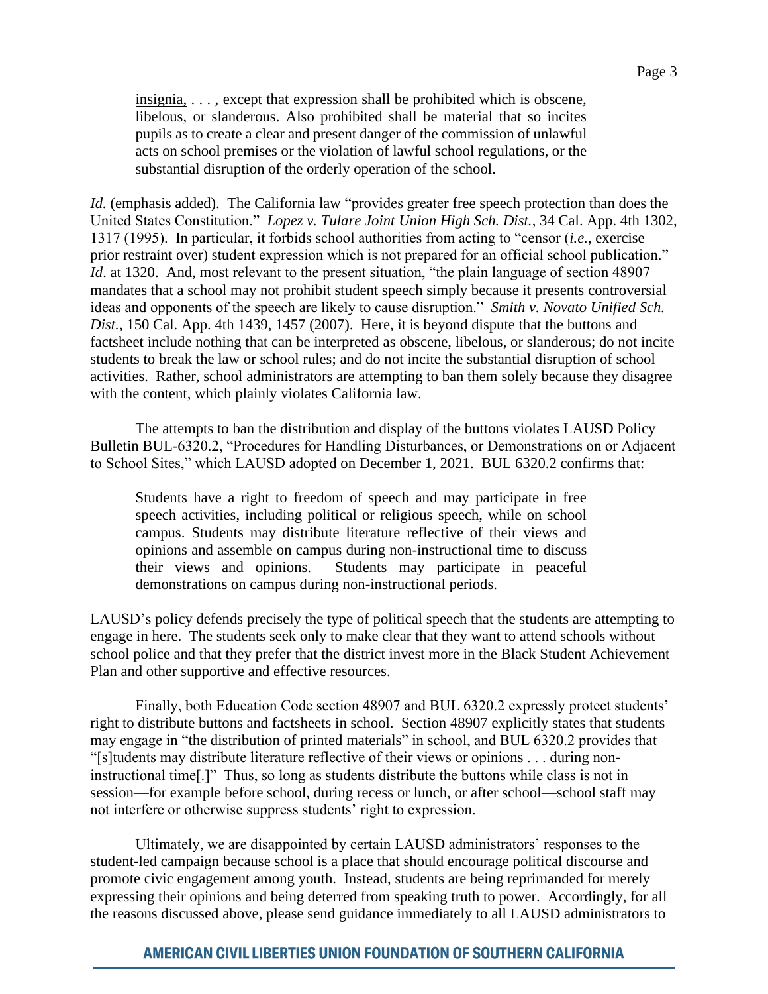insignia, . . . , except that expression shall be prohibited which is obscene, libelous, or slanderous. Also prohibited shall be material that so incites pupils as to create a clear and present danger of the commission of unlawful acts on school premises or the violation of lawful school regulations, or the substantial disruption of the orderly operation of the school.

*Id.* (emphasis added). The California law "provides greater free speech protection than does the United States Constitution." *Lopez v. Tulare Joint Union High Sch. Dist.*, 34 Cal. App. 4th 1302, 1317 (1995). In particular, it forbids school authorities from acting to "censor (*i.e.*, exercise prior restraint over) student expression which is not prepared for an official school publication." *Id.* at 1320. And, most relevant to the present situation, "the plain language of section 48907 mandates that a school may not prohibit student speech simply because it presents controversial ideas and opponents of the speech are likely to cause disruption." *Smith v. Novato Unified Sch. Dist.*, 150 Cal. App. 4th 1439, 1457 (2007). Here, it is beyond dispute that the buttons and factsheet include nothing that can be interpreted as obscene, libelous, or slanderous; do not incite students to break the law or school rules; and do not incite the substantial disruption of school activities. Rather, school administrators are attempting to ban them solely because they disagree with the content, which plainly violates California law.

The attempts to ban the distribution and display of the buttons violates LAUSD Policy Bulletin BUL-6320.2, "Procedures for Handling Disturbances, or Demonstrations on or Adjacent to School Sites," which LAUSD adopted on December 1, 2021. BUL 6320.2 confirms that:

Students have a right to freedom of speech and may participate in free speech activities, including political or religious speech, while on school campus. Students may distribute literature reflective of their views and opinions and assemble on campus during non-instructional time to discuss their views and opinions. Students may participate in peaceful demonstrations on campus during non-instructional periods.

LAUSD's policy defends precisely the type of political speech that the students are attempting to engage in here. The students seek only to make clear that they want to attend schools without school police and that they prefer that the district invest more in the Black Student Achievement Plan and other supportive and effective resources.

Finally, both Education Code section 48907 and BUL 6320.2 expressly protect students' right to distribute buttons and factsheets in school. Section 48907 explicitly states that students may engage in "the distribution of printed materials" in school, and BUL 6320.2 provides that "[s]tudents may distribute literature reflective of their views or opinions . . . during noninstructional time[.]" Thus, so long as students distribute the buttons while class is not in session—for example before school, during recess or lunch, or after school—school staff may not interfere or otherwise suppress students' right to expression.

Ultimately, we are disappointed by certain LAUSD administrators' responses to the student-led campaign because school is a place that should encourage political discourse and promote civic engagement among youth. Instead, students are being reprimanded for merely expressing their opinions and being deterred from speaking truth to power. Accordingly, for all the reasons discussed above, please send guidance immediately to all LAUSD administrators to

# **AMERICAN CIVIL LIBERTIES UNION FOUNDATION OF SOUTHERN CALIFORNIA**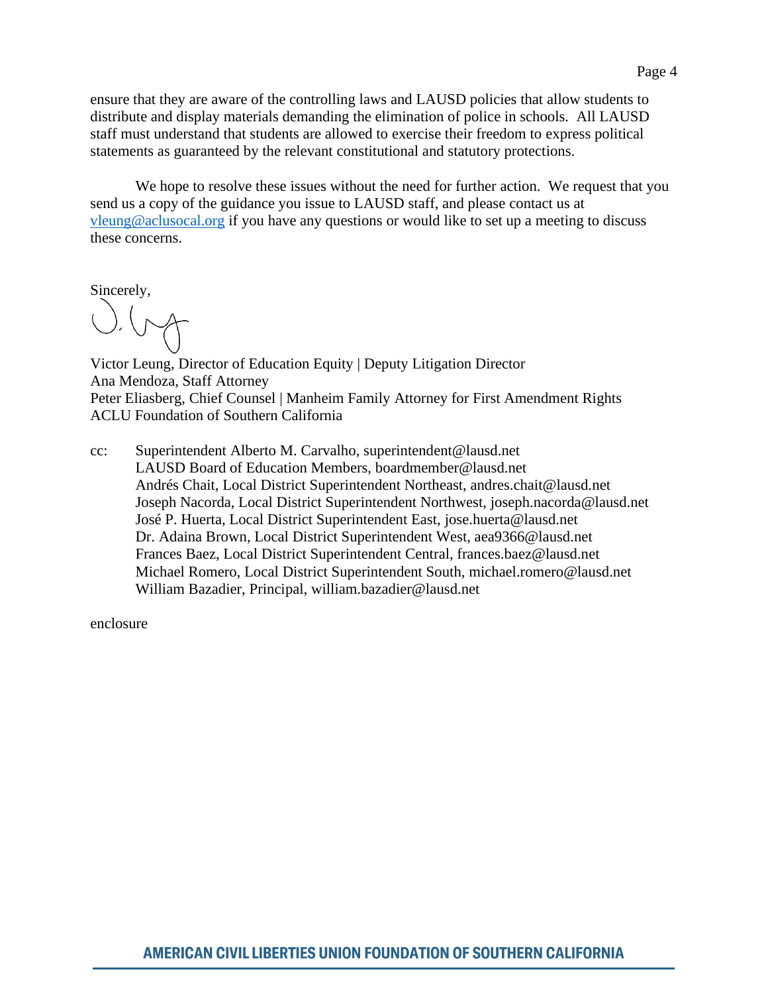ensure that they are aware of the controlling laws and LAUSD policies that allow students to distribute and display materials demanding the elimination of police in schools. All LAUSD staff must understand that students are allowed to exercise their freedom to express political statements as guaranteed by the relevant constitutional and statutory protections.

We hope to resolve these issues without the need for further action. We request that you send us a copy of the guidance you issue to LAUSD staff, and please contact us at [vleung@aclusocal.org](mailto:vleung@aclusocal.org) if you have any questions or would like to set up a meeting to discuss these concerns.

Sincerely,

Victor Leung, Director of Education Equity | Deputy Litigation Director Ana Mendoza, Staff Attorney Peter Eliasberg, Chief Counsel | Manheim Family Attorney for First Amendment Rights ACLU Foundation of Southern California

cc: Superintendent Alberto M. Carvalho, superintendent@lausd.net LAUSD Board of Education Members, boardmember@lausd.net Andrés Chait, Local District Superintendent Northeast, andres.chait@lausd.net Joseph Nacorda, Local District Superintendent Northwest, joseph.nacorda@lausd.net José P. Huerta, Local District Superintendent East, jose.huerta@lausd.net Dr. Adaina Brown, Local District Superintendent West, aea9366@lausd.net Frances Baez, Local District Superintendent Central, frances.baez@lausd.net Michael Romero, Local District Superintendent South, michael.romero@lausd.net William Bazadier, Principal, william.bazadier@lausd.net

enclosure